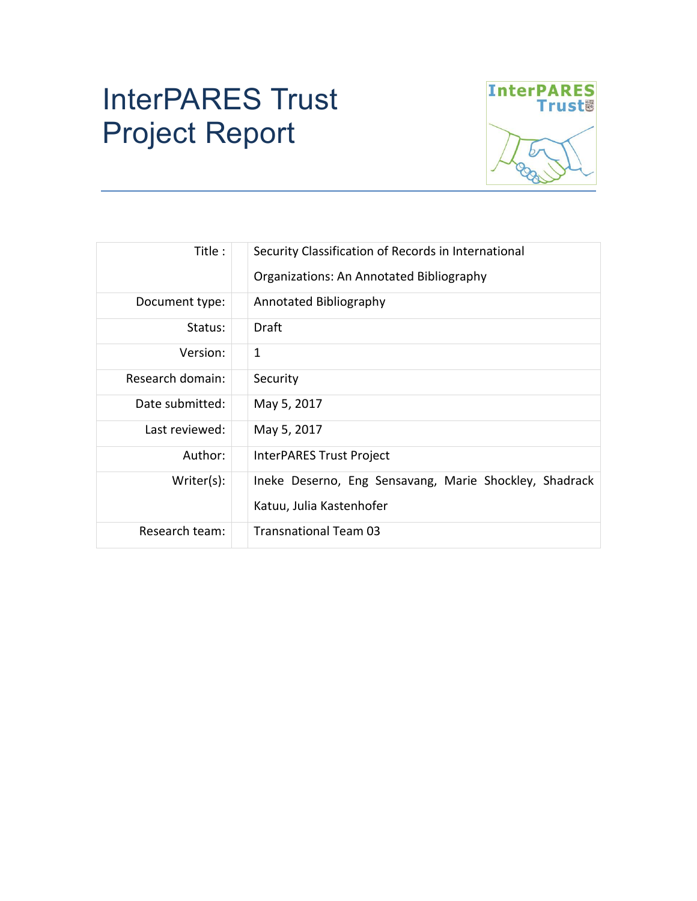# InterPARES Trust Project Report



| Title :          | Security Classification of Records in International<br>Organizations: An Annotated Bibliography |  |  |
|------------------|-------------------------------------------------------------------------------------------------|--|--|
| Document type:   | Annotated Bibliography                                                                          |  |  |
| Status:          | Draft                                                                                           |  |  |
| Version:         | $\mathbf{1}$                                                                                    |  |  |
| Research domain: | Security                                                                                        |  |  |
| Date submitted:  | May 5, 2017                                                                                     |  |  |
| Last reviewed:   | May 5, 2017                                                                                     |  |  |
| Author:          | InterPARES Trust Project                                                                        |  |  |
| Writer(s):       | Ineke Deserno, Eng Sensavang, Marie Shockley, Shadrack<br>Katuu, Julia Kastenhofer              |  |  |
| Research team:   | <b>Transnational Team 03</b>                                                                    |  |  |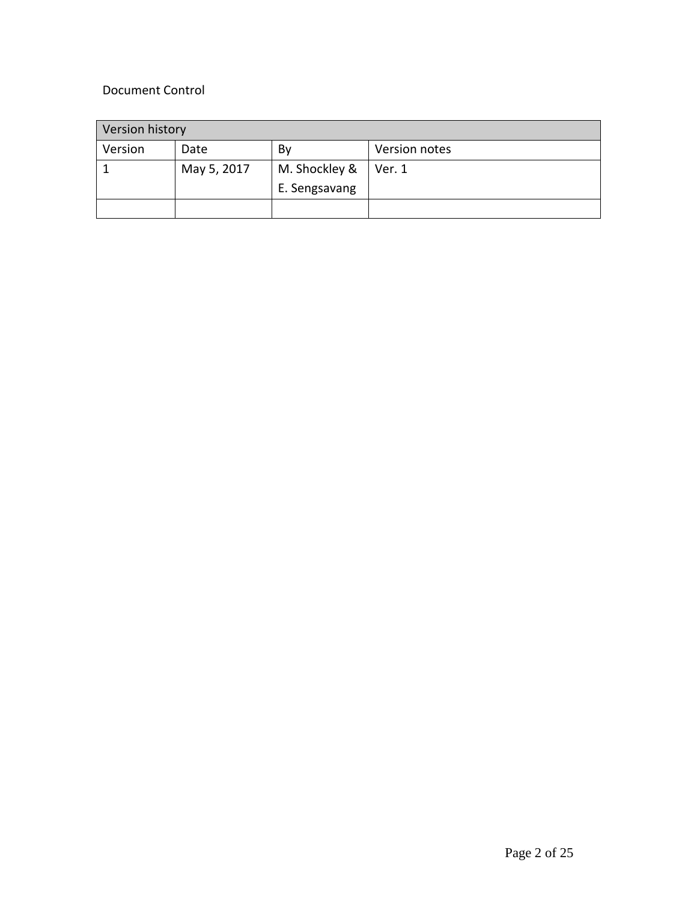# Document Control

| Version history |             |               |               |
|-----------------|-------------|---------------|---------------|
| Version         | Date        | By            | Version notes |
|                 | May 5, 2017 | M. Shockley & | Ver. 1        |
|                 |             | E. Sengsavang |               |
|                 |             |               |               |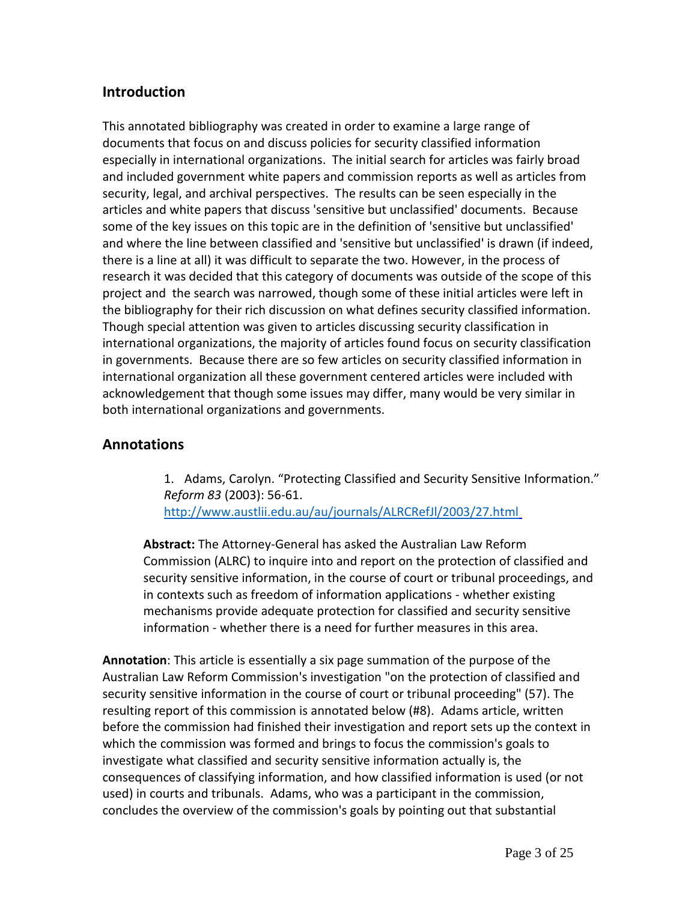## **Introduction**

This annotated bibliography was created in order to examine a large range of documents that focus on and discuss policies for security classified information especially in international organizations. The initial search for articles was fairly broad and included government white papers and commission reports as well as articles from security, legal, and archival perspectives. The results can be seen especially in the articles and white papers that discuss 'sensitive but unclassified' documents. Because some of the key issues on this topic are in the definition of 'sensitive but unclassified' and where the line between classified and 'sensitive but unclassified' is drawn (if indeed, there is a line at all) it was difficult to separate the two. However, in the process of research it was decided that this category of documents was outside of the scope of this project and the search was narrowed, though some of these initial articles were left in the bibliography for their rich discussion on what defines security classified information. Though special attention was given to articles discussing security classification in international organizations, the majority of articles found focus on security classification in governments. Because there are so few articles on security classified information in international organization all these government centered articles were included with acknowledgement that though some issues may differ, many would be very similar in both international organizations and governments.

### **Annotations**

1. Adams, Carolyn. "Protecting Classified and Security Sensitive Information." *Reform 83* (2003): 56-61. [http://www.austlii.edu.au/au/journals/ALRCRefJl/2003/27.html](http://www.austlii.edu.au/au/journals/ALRCRefJl/2003/27.html )

**Abstract:** The Attorney-General has asked the Australian Law Reform Commission (ALRC) to inquire into and report on the protection of classified and security sensitive information, in the course of court or tribunal proceedings, and in contexts such as freedom of information applications - whether existing mechanisms provide adequate protection for classified and security sensitive information - whether there is a need for further measures in this area.

**Annotation**: This article is essentially a six page summation of the purpose of the Australian Law Reform Commission's investigation "on the protection of classified and security sensitive information in the course of court or tribunal proceeding" (57). The resulting report of this commission is annotated below (#8). Adams article, written before the commission had finished their investigation and report sets up the context in which the commission was formed and brings to focus the commission's goals to investigate what classified and security sensitive information actually is, the consequences of classifying information, and how classified information is used (or not used) in courts and tribunals. Adams, who was a participant in the commission, concludes the overview of the commission's goals by pointing out that substantial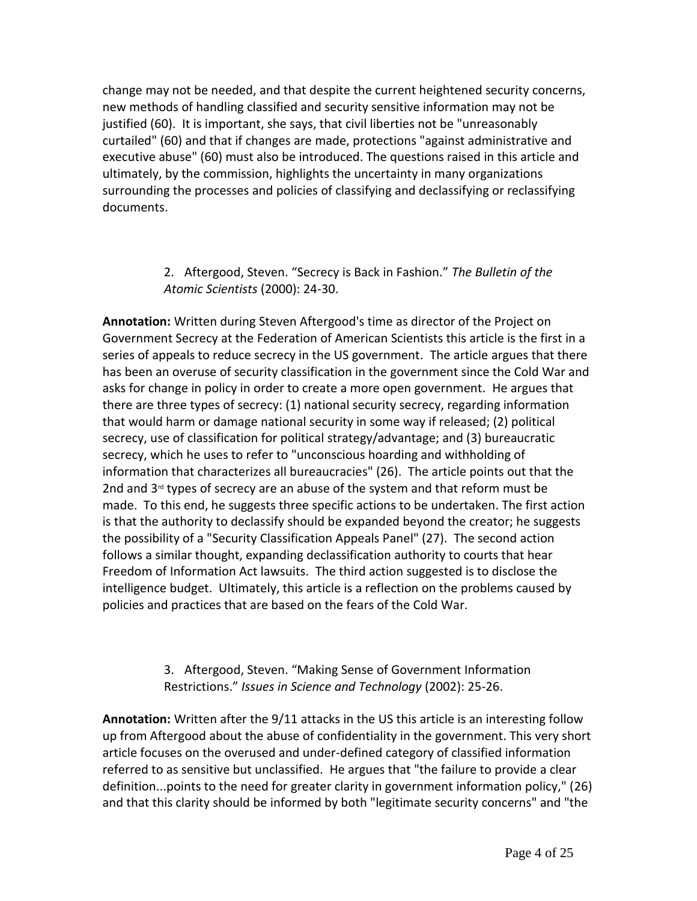change may not be needed, and that despite the current heightened security concerns, new methods of handling classified and security sensitive information may not be justified (60). It is important, she says, that civil liberties not be "unreasonably curtailed" (60) and that if changes are made, protections "against administrative and executive abuse" (60) must also be introduced. The questions raised in this article and ultimately, by the commission, highlights the uncertainty in many organizations surrounding the processes and policies of classifying and declassifying or reclassifying documents.

#### 2. Aftergood, Steven. "Secrecy is Back in Fashion." *The Bulletin of the Atomic Scientists* (2000): 24-30.

**Annotation:** Written during Steven Aftergood's time as director of the Project on Government Secrecy at the Federation of American Scientists this article is the first in a series of appeals to reduce secrecy in the US government. The article argues that there has been an overuse of security classification in the government since the Cold War and asks for change in policy in order to create a more open government. He argues that there are three types of secrecy: (1) national security secrecy, regarding information that would harm or damage national security in some way if released; (2) political secrecy, use of classification for political strategy/advantage; and (3) bureaucratic secrecy, which he uses to refer to "unconscious hoarding and withholding of information that characterizes all bureaucracies" (26). The article points out that the 2nd and  $3<sup>rd</sup>$  types of secrecy are an abuse of the system and that reform must be made. To this end, he suggests three specific actions to be undertaken. The first action is that the authority to declassify should be expanded beyond the creator; he suggests the possibility of a "Security Classification Appeals Panel" (27). The second action follows a similar thought, expanding declassification authority to courts that hear Freedom of Information Act lawsuits. The third action suggested is to disclose the intelligence budget. Ultimately, this article is a reflection on the problems caused by policies and practices that are based on the fears of the Cold War.

## 3. Aftergood, Steven. "Making Sense of Government Information Restrictions." *Issues in Science and Technology* (2002): 25-26.

**Annotation:** Written after the 9/11 attacks in the US this article is an interesting follow up from Aftergood about the abuse of confidentiality in the government. This very short article focuses on the overused and under-defined category of classified information referred to as sensitive but unclassified. He argues that "the failure to provide a clear definition...points to the need for greater clarity in government information policy," (26) and that this clarity should be informed by both "legitimate security concerns" and "the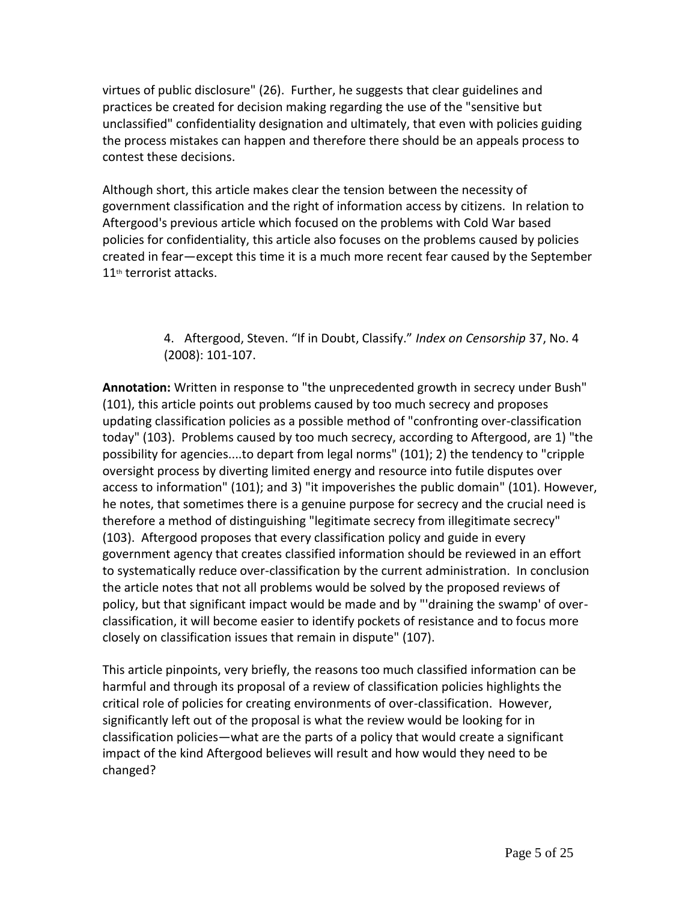virtues of public disclosure" (26). Further, he suggests that clear guidelines and practices be created for decision making regarding the use of the "sensitive but unclassified" confidentiality designation and ultimately, that even with policies guiding the process mistakes can happen and therefore there should be an appeals process to contest these decisions.

Although short, this article makes clear the tension between the necessity of government classification and the right of information access by citizens. In relation to Aftergood's previous article which focused on the problems with Cold War based policies for confidentiality, this article also focuses on the problems caused by policies created in fear—except this time it is a much more recent fear caused by the September 11<sup>th</sup> terrorist attacks.

> 4. Aftergood, Steven. "If in Doubt, Classify." *Index on Censorship* 37, No. 4 (2008): 101-107.

**Annotation:** Written in response to "the unprecedented growth in secrecy under Bush" (101), this article points out problems caused by too much secrecy and proposes updating classification policies as a possible method of "confronting over-classification today" (103). Problems caused by too much secrecy, according to Aftergood, are 1) "the possibility for agencies....to depart from legal norms" (101); 2) the tendency to "cripple oversight process by diverting limited energy and resource into futile disputes over access to information" (101); and 3) "it impoverishes the public domain" (101). However, he notes, that sometimes there is a genuine purpose for secrecy and the crucial need is therefore a method of distinguishing "legitimate secrecy from illegitimate secrecy" (103). Aftergood proposes that every classification policy and guide in every government agency that creates classified information should be reviewed in an effort to systematically reduce over-classification by the current administration. In conclusion the article notes that not all problems would be solved by the proposed reviews of policy, but that significant impact would be made and by "'draining the swamp' of overclassification, it will become easier to identify pockets of resistance and to focus more closely on classification issues that remain in dispute" (107).

This article pinpoints, very briefly, the reasons too much classified information can be harmful and through its proposal of a review of classification policies highlights the critical role of policies for creating environments of over-classification. However, significantly left out of the proposal is what the review would be looking for in classification policies—what are the parts of a policy that would create a significant impact of the kind Aftergood believes will result and how would they need to be changed?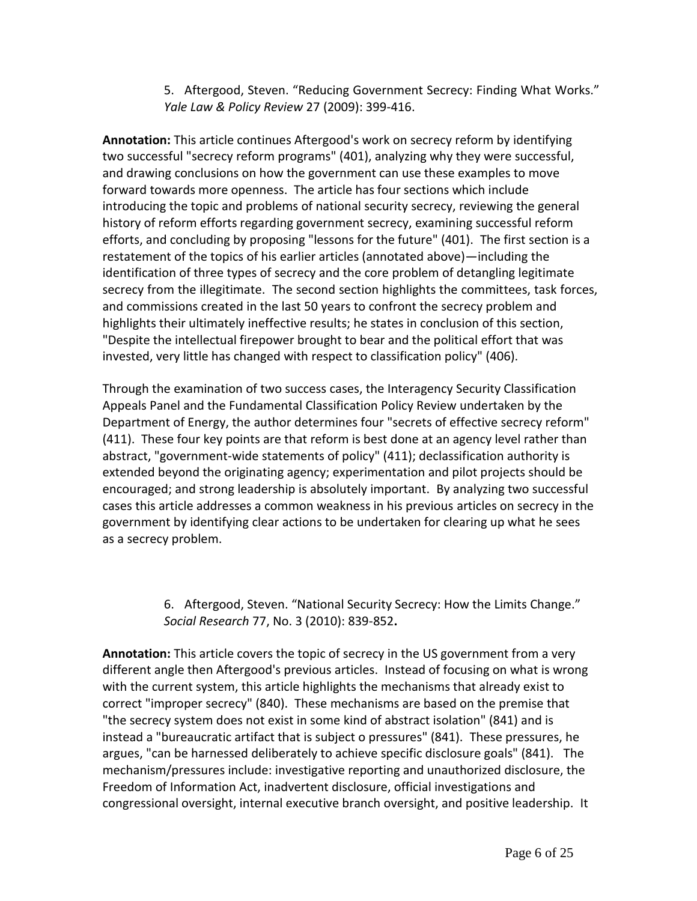5. Aftergood, Steven. "Reducing Government Secrecy: Finding What Works." *Yale Law & Policy Review* 27 (2009): 399-416.

**Annotation:** This article continues Aftergood's work on secrecy reform by identifying two successful "secrecy reform programs" (401), analyzing why they were successful, and drawing conclusions on how the government can use these examples to move forward towards more openness. The article has four sections which include introducing the topic and problems of national security secrecy, reviewing the general history of reform efforts regarding government secrecy, examining successful reform efforts, and concluding by proposing "lessons for the future" (401). The first section is a restatement of the topics of his earlier articles (annotated above)—including the identification of three types of secrecy and the core problem of detangling legitimate secrecy from the illegitimate. The second section highlights the committees, task forces, and commissions created in the last 50 years to confront the secrecy problem and highlights their ultimately ineffective results; he states in conclusion of this section, "Despite the intellectual firepower brought to bear and the political effort that was invested, very little has changed with respect to classification policy" (406).

Through the examination of two success cases, the Interagency Security Classification Appeals Panel and the Fundamental Classification Policy Review undertaken by the Department of Energy, the author determines four "secrets of effective secrecy reform" (411). These four key points are that reform is best done at an agency level rather than abstract, "government-wide statements of policy" (411); declassification authority is extended beyond the originating agency; experimentation and pilot projects should be encouraged; and strong leadership is absolutely important. By analyzing two successful cases this article addresses a common weakness in his previous articles on secrecy in the government by identifying clear actions to be undertaken for clearing up what he sees as a secrecy problem.

> 6. Aftergood, Steven. "National Security Secrecy: How the Limits Change." *Social Research* 77, No. 3 (2010): 839-852**.**

**Annotation:** This article covers the topic of secrecy in the US government from a very different angle then Aftergood's previous articles. Instead of focusing on what is wrong with the current system, this article highlights the mechanisms that already exist to correct "improper secrecy" (840). These mechanisms are based on the premise that "the secrecy system does not exist in some kind of abstract isolation" (841) and is instead a "bureaucratic artifact that is subject o pressures" (841). These pressures, he argues, "can be harnessed deliberately to achieve specific disclosure goals" (841). The mechanism/pressures include: investigative reporting and unauthorized disclosure, the Freedom of Information Act, inadvertent disclosure, official investigations and congressional oversight, internal executive branch oversight, and positive leadership. It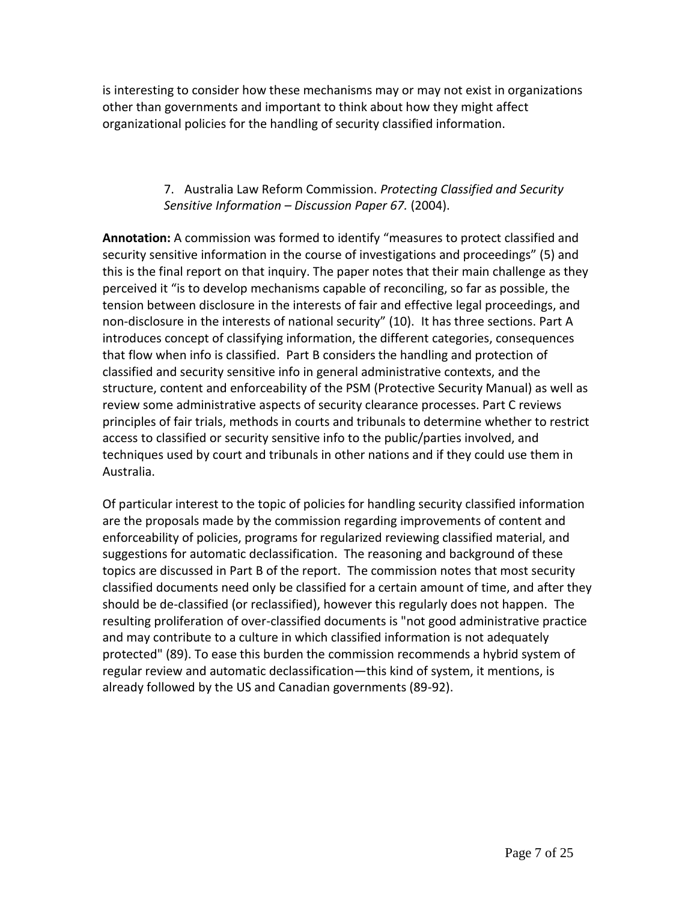is interesting to consider how these mechanisms may or may not exist in organizations other than governments and important to think about how they might affect organizational policies for the handling of security classified information.

#### 7. Australia Law Reform Commission. *Protecting Classified and Security Sensitive Information – Discussion Paper 67.* (2004).

**Annotation:** A commission was formed to identify "measures to protect classified and security sensitive information in the course of investigations and proceedings" (5) and this is the final report on that inquiry. The paper notes that their main challenge as they perceived it "is to develop mechanisms capable of reconciling, so far as possible, the tension between disclosure in the interests of fair and effective legal proceedings, and non-disclosure in the interests of national security" (10). It has three sections. Part A introduces concept of classifying information, the different categories, consequences that flow when info is classified. Part B considers the handling and protection of classified and security sensitive info in general administrative contexts, and the structure, content and enforceability of the PSM (Protective Security Manual) as well as review some administrative aspects of security clearance processes. Part C reviews principles of fair trials, methods in courts and tribunals to determine whether to restrict access to classified or security sensitive info to the public/parties involved, and techniques used by court and tribunals in other nations and if they could use them in Australia.

Of particular interest to the topic of policies for handling security classified information are the proposals made by the commission regarding improvements of content and enforceability of policies, programs for regularized reviewing classified material, and suggestions for automatic declassification. The reasoning and background of these topics are discussed in Part B of the report. The commission notes that most security classified documents need only be classified for a certain amount of time, and after they should be de-classified (or reclassified), however this regularly does not happen. The resulting proliferation of over-classified documents is "not good administrative practice and may contribute to a culture in which classified information is not adequately protected" (89). To ease this burden the commission recommends a hybrid system of regular review and automatic declassification—this kind of system, it mentions, is already followed by the US and Canadian governments (89-92).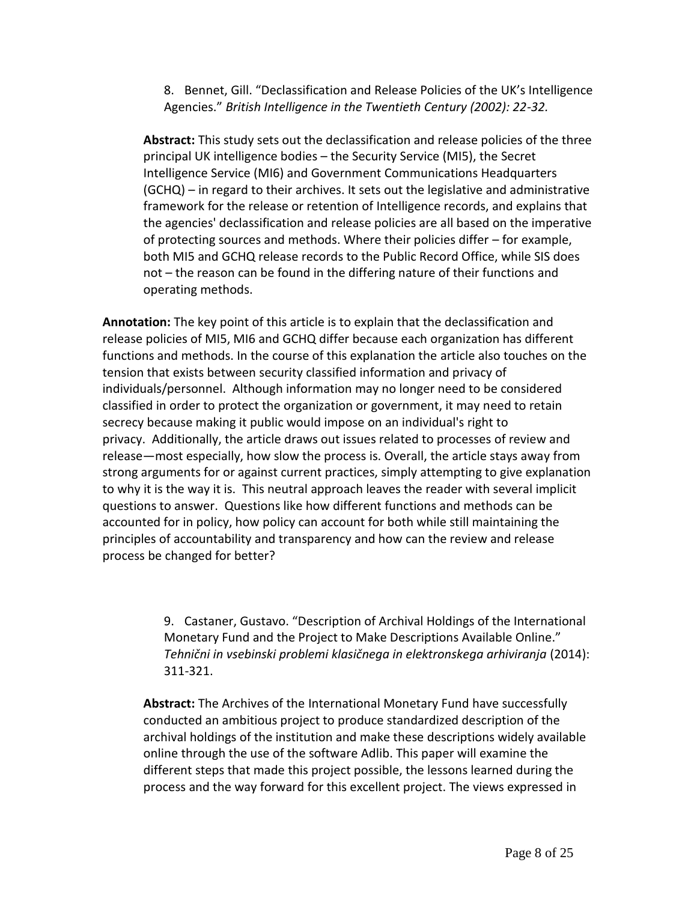8. Bennet, Gill. "Declassification and Release Policies of the UK's Intelligence Agencies." *British Intelligence in the Twentieth Century (2002): 22-32.*

**Abstract:** This study sets out the declassification and release policies of the three principal UK intelligence bodies – the Security Service (MI5), the Secret Intelligence Service (MI6) and Government Communications Headquarters (GCHQ) – in regard to their archives. It sets out the legislative and administrative framework for the release or retention of Intelligence records, and explains that the agencies' declassification and release policies are all based on the imperative of protecting sources and methods. Where their policies differ – for example, both MI5 and GCHQ release records to the Public Record Office, while SIS does not – the reason can be found in the differing nature of their functions and operating methods.

**Annotation:** The key point of this article is to explain that the declassification and release policies of MI5, MI6 and GCHQ differ because each organization has different functions and methods. In the course of this explanation the article also touches on the tension that exists between security classified information and privacy of individuals/personnel. Although information may no longer need to be considered classified in order to protect the organization or government, it may need to retain secrecy because making it public would impose on an individual's right to privacy. Additionally, the article draws out issues related to processes of review and release—most especially, how slow the process is. Overall, the article stays away from strong arguments for or against current practices, simply attempting to give explanation to why it is the way it is. This neutral approach leaves the reader with several implicit questions to answer. Questions like how different functions and methods can be accounted for in policy, how policy can account for both while still maintaining the principles of accountability and transparency and how can the review and release process be changed for better?

> 9. Castaner, Gustavo. "Description of Archival Holdings of the International Monetary Fund and the Project to Make Descriptions Available Online." *Tehnični in vsebinski problemi klasičnega in elektronskega arhiviranja* (2014): 311-321.

**Abstract:** The Archives of the International Monetary Fund have successfully conducted an ambitious project to produce standardized description of the archival holdings of the institution and make these descriptions widely available online through the use of the software Adlib. This paper will examine the different steps that made this project possible, the lessons learned during the process and the way forward for this excellent project. The views expressed in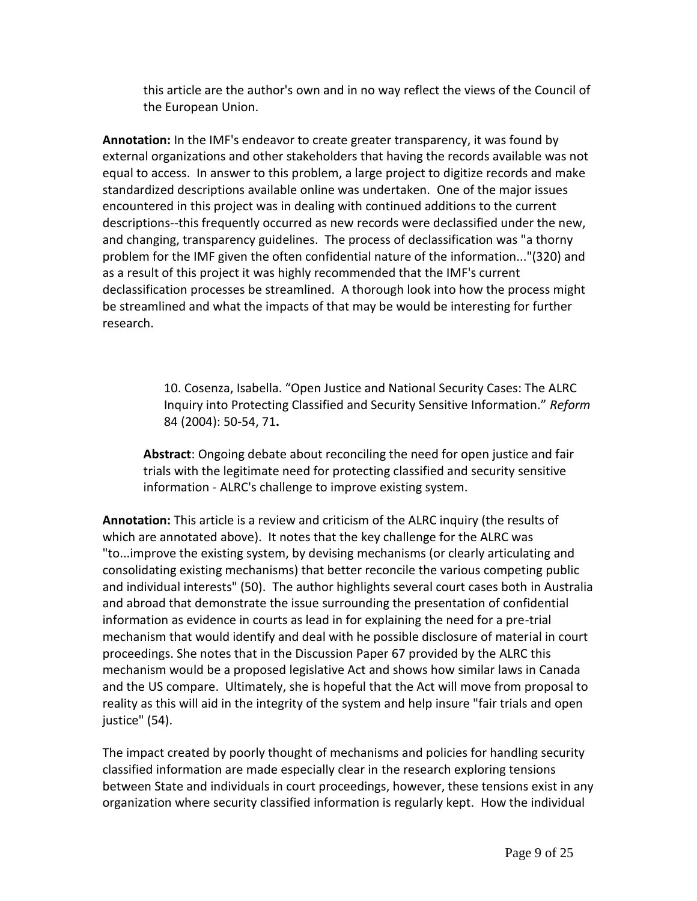this article are the author's own and in no way reflect the views of the Council of the European Union.

**Annotation:** In the IMF's endeavor to create greater transparency, it was found by external organizations and other stakeholders that having the records available was not equal to access. In answer to this problem, a large project to digitize records and make standardized descriptions available online was undertaken. One of the major issues encountered in this project was in dealing with continued additions to the current descriptions--this frequently occurred as new records were declassified under the new, and changing, transparency guidelines. The process of declassification was "a thorny problem for the IMF given the often confidential nature of the information..."(320) and as a result of this project it was highly recommended that the IMF's current declassification processes be streamlined. A thorough look into how the process might be streamlined and what the impacts of that may be would be interesting for further research.

> 10. Cosenza, Isabella. "Open Justice and National Security Cases: The ALRC Inquiry into Protecting Classified and Security Sensitive Information." *Reform*  84 (2004): 50-54, 71**.**

**Abstract**: Ongoing debate about reconciling the need for open justice and fair trials with the legitimate need for protecting classified and security sensitive information - ALRC's challenge to improve existing system.

**Annotation:** This article is a review and criticism of the ALRC inquiry (the results of which are annotated above). It notes that the key challenge for the ALRC was "to...improve the existing system, by devising mechanisms (or clearly articulating and consolidating existing mechanisms) that better reconcile the various competing public and individual interests" (50). The author highlights several court cases both in Australia and abroad that demonstrate the issue surrounding the presentation of confidential information as evidence in courts as lead in for explaining the need for a pre-trial mechanism that would identify and deal with he possible disclosure of material in court proceedings. She notes that in the Discussion Paper 67 provided by the ALRC this mechanism would be a proposed legislative Act and shows how similar laws in Canada and the US compare. Ultimately, she is hopeful that the Act will move from proposal to reality as this will aid in the integrity of the system and help insure "fair trials and open justice" (54).

The impact created by poorly thought of mechanisms and policies for handling security classified information are made especially clear in the research exploring tensions between State and individuals in court proceedings, however, these tensions exist in any organization where security classified information is regularly kept. How the individual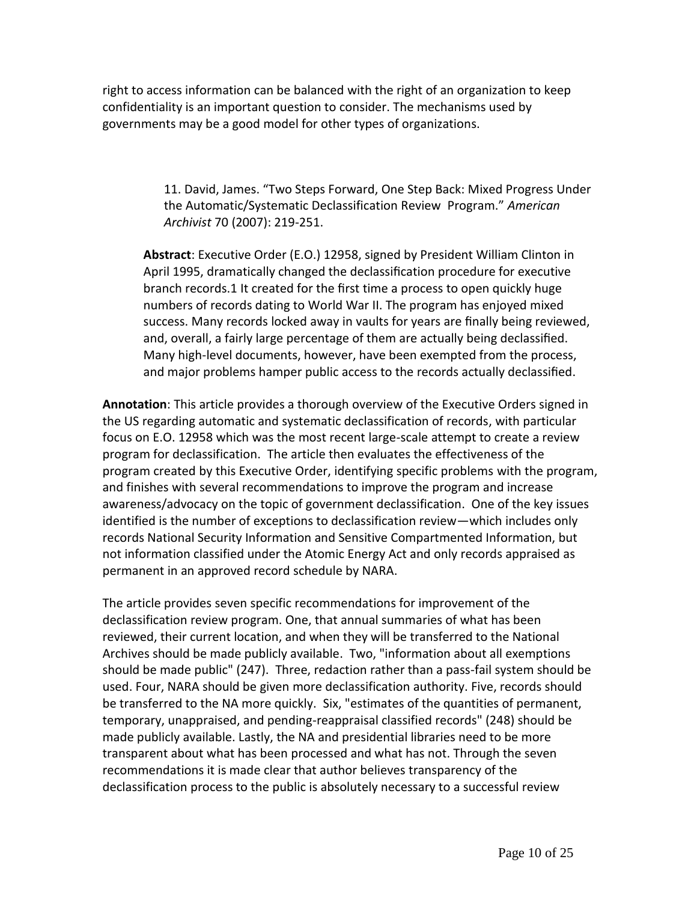right to access information can be balanced with the right of an organization to keep confidentiality is an important question to consider. The mechanisms used by governments may be a good model for other types of organizations.

> 11. David, James. "Two Steps Forward, One Step Back: Mixed Progress Under the Automatic/Systematic Declassification Review Program." *American Archivist* 70 (2007): 219-251.

**Abstract**: Executive Order (E.O.) 12958, signed by President William Clinton in April 1995, dramatically changed the declassification procedure for executive branch records.1 It created for the first time a process to open quickly huge numbers of records dating to World War II. The program has enjoyed mixed success. Many records locked away in vaults for years are finally being reviewed, and, overall, a fairly large percentage of them are actually being declassified. Many high-level documents, however, have been exempted from the process, and major problems hamper public access to the records actually declassified.

**Annotation**: This article provides a thorough overview of the Executive Orders signed in the US regarding automatic and systematic declassification of records, with particular focus on E.O. 12958 which was the most recent large-scale attempt to create a review program for declassification. The article then evaluates the effectiveness of the program created by this Executive Order, identifying specific problems with the program, and finishes with several recommendations to improve the program and increase awareness/advocacy on the topic of government declassification. One of the key issues identified is the number of exceptions to declassification review—which includes only records National Security Information and Sensitive Compartmented Information, but not information classified under the Atomic Energy Act and only records appraised as permanent in an approved record schedule by NARA.

The article provides seven specific recommendations for improvement of the declassification review program. One, that annual summaries of what has been reviewed, their current location, and when they will be transferred to the National Archives should be made publicly available. Two, "information about all exemptions should be made public" (247). Three, redaction rather than a pass-fail system should be used. Four, NARA should be given more declassification authority. Five, records should be transferred to the NA more quickly. Six, "estimates of the quantities of permanent, temporary, unappraised, and pending-reappraisal classified records" (248) should be made publicly available. Lastly, the NA and presidential libraries need to be more transparent about what has been processed and what has not. Through the seven recommendations it is made clear that author believes transparency of the declassification process to the public is absolutely necessary to a successful review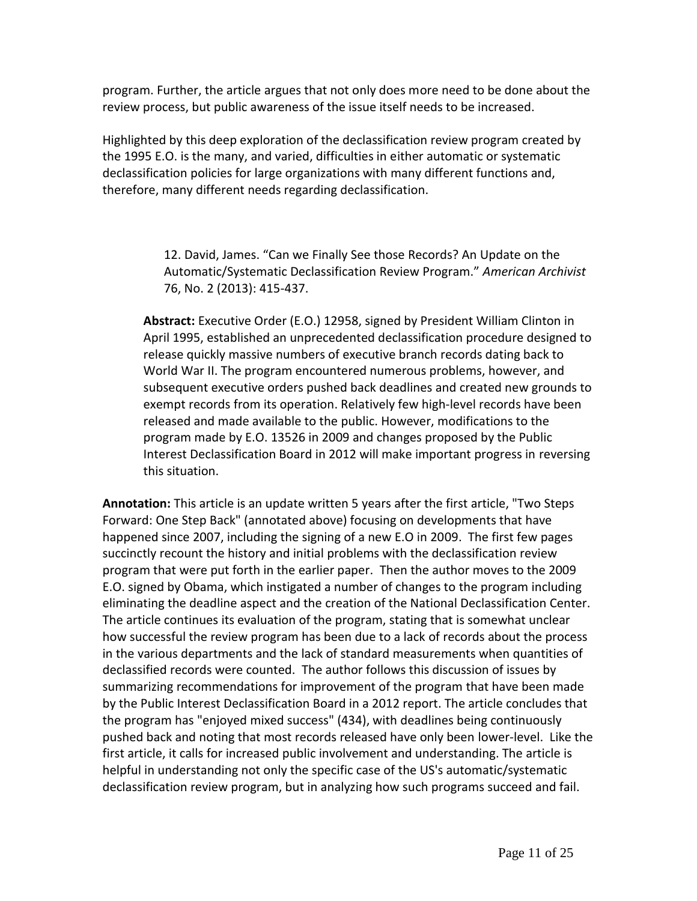program. Further, the article argues that not only does more need to be done about the review process, but public awareness of the issue itself needs to be increased.

Highlighted by this deep exploration of the declassification review program created by the 1995 E.O. is the many, and varied, difficulties in either automatic or systematic declassification policies for large organizations with many different functions and, therefore, many different needs regarding declassification.

> 12. David, James. "Can we Finally See those Records? An Update on the Automatic/Systematic Declassification Review Program." *American Archivist*  76, No. 2 (2013): 415-437.

**Abstract:** Executive Order (E.O.) 12958, signed by President William Clinton in April 1995, established an unprecedented declassification procedure designed to release quickly massive numbers of executive branch records dating back to World War II. The program encountered numerous problems, however, and subsequent executive orders pushed back deadlines and created new grounds to exempt records from its operation. Relatively few high-level records have been released and made available to the public. However, modifications to the program made by E.O. 13526 in 2009 and changes proposed by the Public Interest Declassification Board in 2012 will make important progress in reversing this situation.

**Annotation:** This article is an update written 5 years after the first article, "Two Steps Forward: One Step Back" (annotated above) focusing on developments that have happened since 2007, including the signing of a new E.O in 2009. The first few pages succinctly recount the history and initial problems with the declassification review program that were put forth in the earlier paper. Then the author moves to the 2009 E.O. signed by Obama, which instigated a number of changes to the program including eliminating the deadline aspect and the creation of the National Declassification Center. The article continues its evaluation of the program, stating that is somewhat unclear how successful the review program has been due to a lack of records about the process in the various departments and the lack of standard measurements when quantities of declassified records were counted. The author follows this discussion of issues by summarizing recommendations for improvement of the program that have been made by the Public Interest Declassification Board in a 2012 report. The article concludes that the program has "enjoyed mixed success" (434), with deadlines being continuously pushed back and noting that most records released have only been lower-level. Like the first article, it calls for increased public involvement and understanding. The article is helpful in understanding not only the specific case of the US's automatic/systematic declassification review program, but in analyzing how such programs succeed and fail.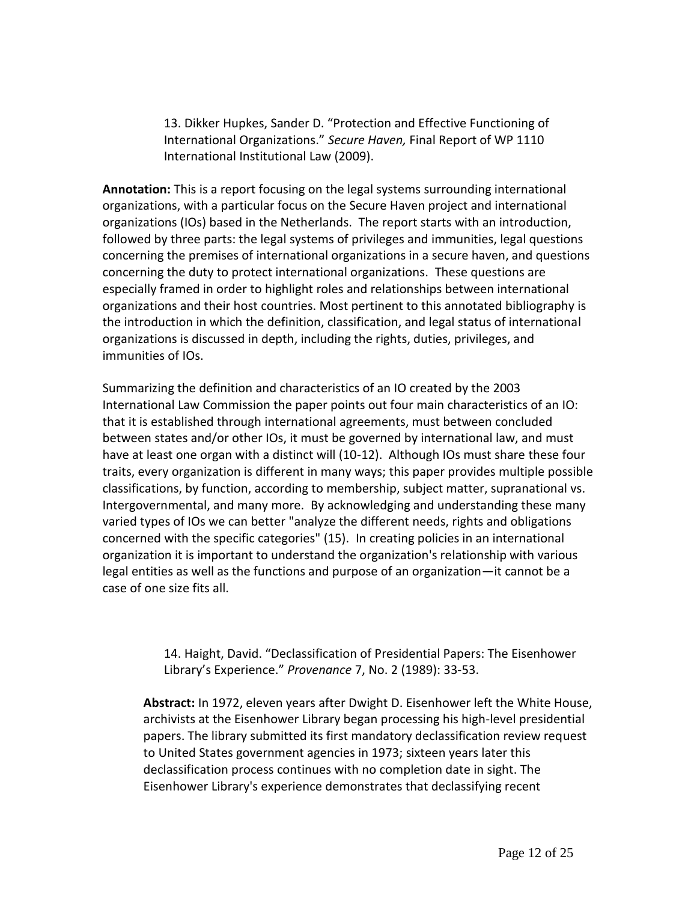13. Dikker Hupkes, Sander D. "Protection and Effective Functioning of International Organizations." *Secure Haven,* Final Report of WP 1110 International Institutional Law (2009).

**Annotation:** This is a report focusing on the legal systems surrounding international organizations, with a particular focus on the Secure Haven project and international organizations (IOs) based in the Netherlands. The report starts with an introduction, followed by three parts: the legal systems of privileges and immunities, legal questions concerning the premises of international organizations in a secure haven, and questions concerning the duty to protect international organizations. These questions are especially framed in order to highlight roles and relationships between international organizations and their host countries. Most pertinent to this annotated bibliography is the introduction in which the definition, classification, and legal status of international organizations is discussed in depth, including the rights, duties, privileges, and immunities of IOs.

Summarizing the definition and characteristics of an IO created by the 2003 International Law Commission the paper points out four main characteristics of an IO: that it is established through international agreements, must between concluded between states and/or other IOs, it must be governed by international law, and must have at least one organ with a distinct will (10-12). Although IOs must share these four traits, every organization is different in many ways; this paper provides multiple possible classifications, by function, according to membership, subject matter, supranational vs. Intergovernmental, and many more. By acknowledging and understanding these many varied types of IOs we can better "analyze the different needs, rights and obligations concerned with the specific categories" (15). In creating policies in an international organization it is important to understand the organization's relationship with various legal entities as well as the functions and purpose of an organization—it cannot be a case of one size fits all.

> 14. Haight, David. "Declassification of Presidential Papers: The Eisenhower Library's Experience." *Provenance* 7, No. 2 (1989): 33-53.

**Abstract:** In 1972, eleven years after Dwight D. Eisenhower left the White House, archivists at the Eisenhower Library began processing his high-level presidential papers. The library submitted its first mandatory declassification review request to United States government agencies in 1973; sixteen years later this declassification process continues with no completion date in sight. The Eisenhower Library's experience demonstrates that declassifying recent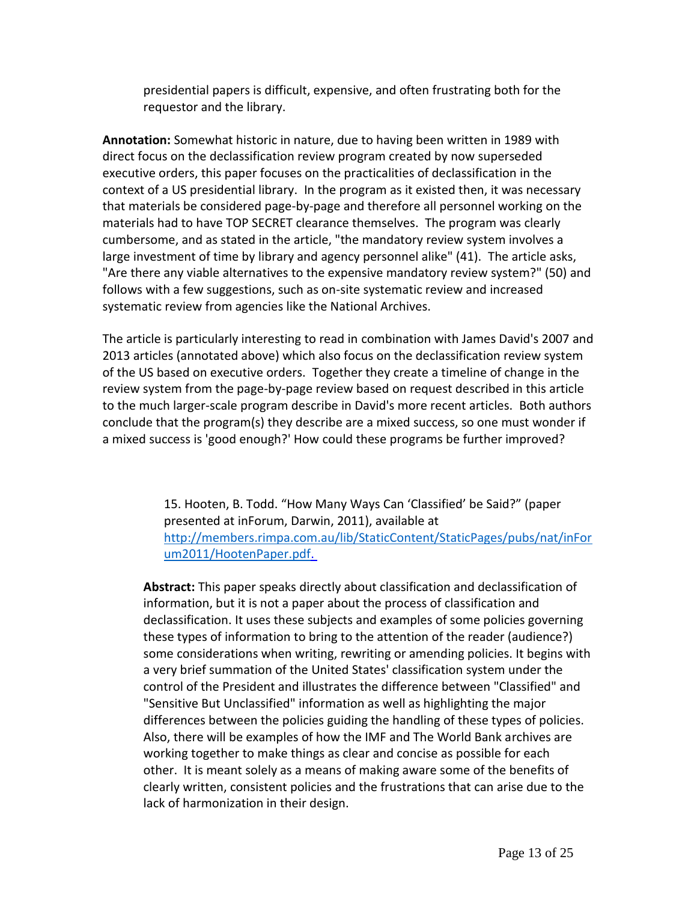presidential papers is difficult, expensive, and often frustrating both for the requestor and the library.

**Annotation:** Somewhat historic in nature, due to having been written in 1989 with direct focus on the declassification review program created by now superseded executive orders, this paper focuses on the practicalities of declassification in the context of a US presidential library. In the program as it existed then, it was necessary that materials be considered page-by-page and therefore all personnel working on the materials had to have TOP SECRET clearance themselves. The program was clearly cumbersome, and as stated in the article, "the mandatory review system involves a large investment of time by library and agency personnel alike" (41). The article asks, "Are there any viable alternatives to the expensive mandatory review system?" (50) and follows with a few suggestions, such as on-site systematic review and increased systematic review from agencies like the National Archives.

The article is particularly interesting to read in combination with James David's 2007 and 2013 articles (annotated above) which also focus on the declassification review system of the US based on executive orders. Together they create a timeline of change in the review system from the page-by-page review based on request described in this article to the much larger-scale program describe in David's more recent articles. Both authors conclude that the program(s) they describe are a mixed success, so one must wonder if a mixed success is 'good enough?' How could these programs be further improved?

> 15. Hooten, B. Todd. "How Many Ways Can 'Classified' be Said?" (paper presented at inForum, Darwin, 2011), available at [http://members.rimpa.com.au/lib/StaticContent/StaticPages/pubs/nat/inFor](http://members.rimpa.com.au/lib/StaticContent/StaticPages/pubs/nat/inForum2011/HootenPaper.pdf. ) [um2011/HootenPaper.pdf.](http://members.rimpa.com.au/lib/StaticContent/StaticPages/pubs/nat/inForum2011/HootenPaper.pdf. )

**Abstract:** This paper speaks directly about classification and declassification of information, but it is not a paper about the process of classification and declassification. It uses these subjects and examples of some policies governing these types of information to bring to the attention of the reader (audience?) some considerations when writing, rewriting or amending policies. It begins with a very brief summation of the United States' classification system under the control of the President and illustrates the difference between "Classified" and "Sensitive But Unclassified" information as well as highlighting the major differences between the policies guiding the handling of these types of policies. Also, there will be examples of how the IMF and The World Bank archives are working together to make things as clear and concise as possible for each other. It is meant solely as a means of making aware some of the benefits of clearly written, consistent policies and the frustrations that can arise due to the lack of harmonization in their design.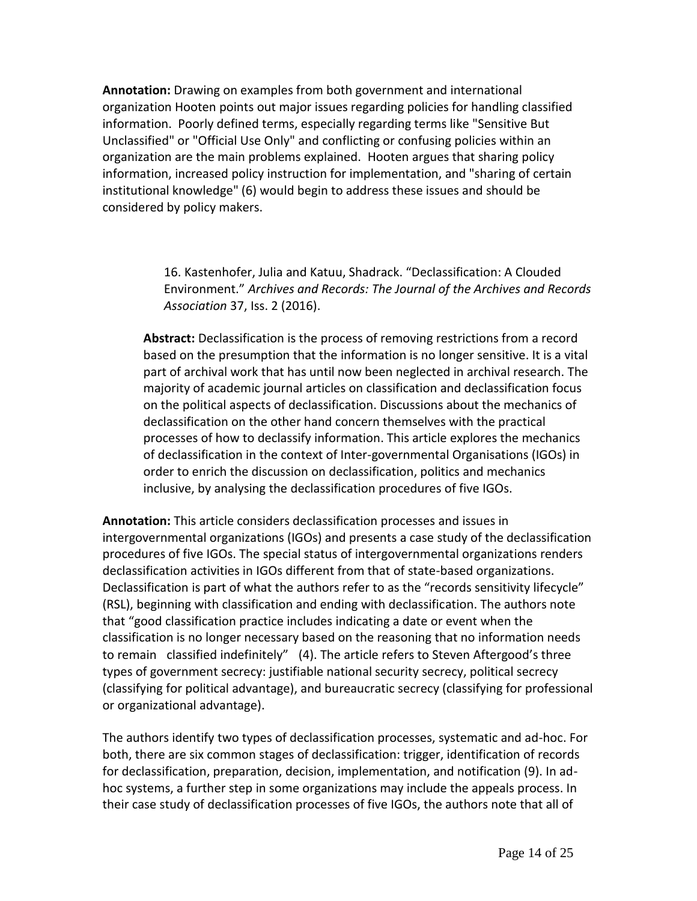**Annotation:** Drawing on examples from both government and international organization Hooten points out major issues regarding policies for handling classified information. Poorly defined terms, especially regarding terms like "Sensitive But Unclassified" or "Official Use Only" and conflicting or confusing policies within an organization are the main problems explained. Hooten argues that sharing policy information, increased policy instruction for implementation, and "sharing of certain institutional knowledge" (6) would begin to address these issues and should be considered by policy makers.

> 16. Kastenhofer, Julia and Katuu, Shadrack. "Declassification: A Clouded Environment." *Archives and Records: The Journal of the Archives and Records Association* 37, Iss. 2 (2016).

**Abstract:** Declassification is the process of removing restrictions from a record based on the presumption that the information is no longer sensitive. It is a vital part of archival work that has until now been neglected in archival research. The majority of academic journal articles on classification and declassification focus on the political aspects of declassification. Discussions about the mechanics of declassification on the other hand concern themselves with the practical processes of how to declassify information. This article explores the mechanics of declassification in the context of Inter-governmental Organisations (IGOs) in order to enrich the discussion on declassification, politics and mechanics inclusive, by analysing the declassification procedures of five IGOs.

**Annotation:** This article considers declassification processes and issues in intergovernmental organizations (IGOs) and presents a case study of the declassification procedures of five IGOs. The special status of intergovernmental organizations renders declassification activities in IGOs different from that of state-based organizations. Declassification is part of what the authors refer to as the "records sensitivity lifecycle" (RSL), beginning with classification and ending with declassification. The authors note that "good classification practice includes indicating a date or event when the classification is no longer necessary based on the reasoning that no information needs to remain classified indefinitely" (4). The article refers to Steven Aftergood's three types of government secrecy: justifiable national security secrecy, political secrecy (classifying for political advantage), and bureaucratic secrecy (classifying for professional or organizational advantage).

The authors identify two types of declassification processes, systematic and ad-hoc. For both, there are six common stages of declassification: trigger, identification of records for declassification, preparation, decision, implementation, and notification (9). In adhoc systems, a further step in some organizations may include the appeals process. In their case study of declassification processes of five IGOs, the authors note that all of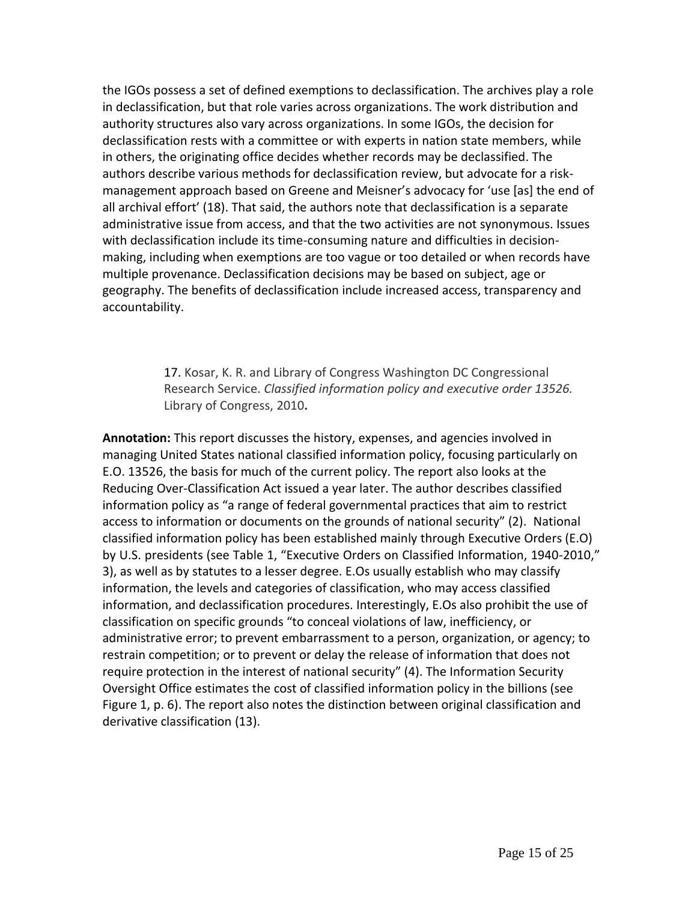the IGOs possess a set of defined exemptions to declassification. The archives play a role in declassification, but that role varies across organizations. The work distribution and authority structures also vary across organizations. In some IGOs, the decision for declassification rests with a committee or with experts in nation state members, while in others, the originating office decides whether records may be declassified. The authors describe various methods for declassification review, but advocate for a riskmanagement approach based on Greene and Meisner's advocacy for 'use [as] the end of all archival effort' (18). That said, the authors note that declassification is a separate administrative issue from access, and that the two activities are not synonymous. Issues with declassification include its time-consuming nature and difficulties in decisionmaking, including when exemptions are too vague or too detailed or when records have multiple provenance. Declassification decisions may be based on subject, age or geography. The benefits of declassification include increased access, transparency and accountability.

> 17. Kosar, K. R. and Library of Congress Washington DC Congressional Research Service. *Classified information policy and executive order 13526.*  Library of Congress, 2010**.**

**Annotation:** This report discusses the history, expenses, and agencies involved in managing United States national classified information policy, focusing particularly on E.O. 13526, the basis for much of the current policy. The report also looks at the Reducing Over-Classification Act issued a year later. The author describes classified information policy as "a range of federal governmental practices that aim to restrict access to information or documents on the grounds of national security" (2). National classified information policy has been established mainly through Executive Orders (E.O) by U.S. presidents (see Table 1, "Executive Orders on Classified Information, 1940-2010," 3), as well as by statutes to a lesser degree. E.Os usually establish who may classify information, the levels and categories of classification, who may access classified information, and declassification procedures. Interestingly, E.Os also prohibit the use of classification on specific grounds "to conceal violations of law, inefficiency, or administrative error; to prevent embarrassment to a person, organization, or agency; to restrain competition; or to prevent or delay the release of information that does not require protection in the interest of national security" (4). The Information Security Oversight Office estimates the cost of classified information policy in the billions (see Figure 1, p. 6). The report also notes the distinction between original classification and derivative classification (13).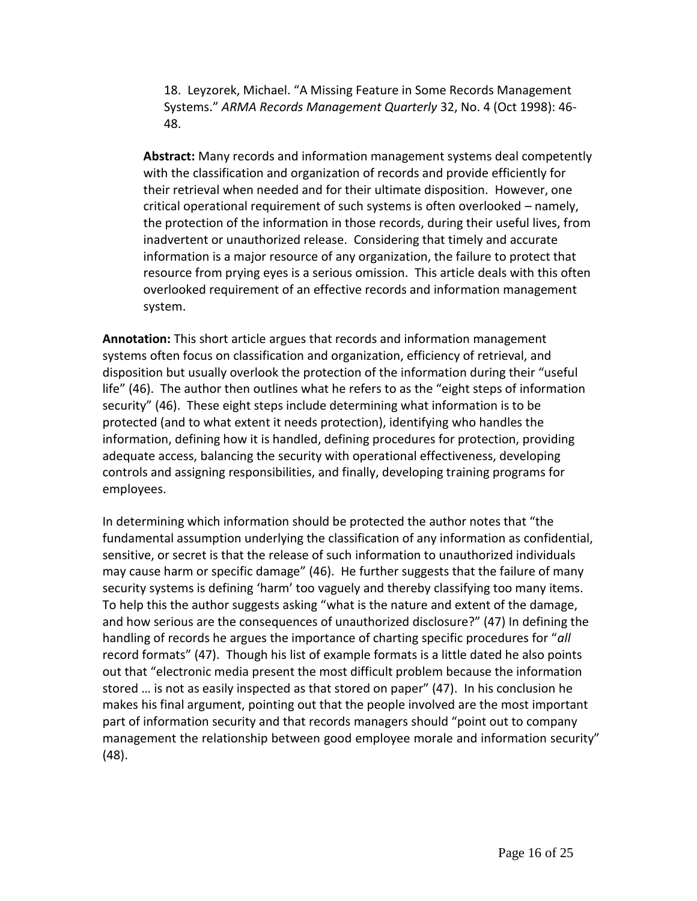18. Leyzorek, Michael. "A Missing Feature in Some Records Management Systems." *ARMA Records Management Quarterly* 32, No. 4 (Oct 1998): 46- 48.

**Abstract:** Many records and information management systems deal competently with the classification and organization of records and provide efficiently for their retrieval when needed and for their ultimate disposition. However, one critical operational requirement of such systems is often overlooked – namely, the protection of the information in those records, during their useful lives, from inadvertent or unauthorized release. Considering that timely and accurate information is a major resource of any organization, the failure to protect that resource from prying eyes is a serious omission. This article deals with this often overlooked requirement of an effective records and information management system.

**Annotation:** This short article argues that records and information management systems often focus on classification and organization, efficiency of retrieval, and disposition but usually overlook the protection of the information during their "useful life" (46). The author then outlines what he refers to as the "eight steps of information security" (46). These eight steps include determining what information is to be protected (and to what extent it needs protection), identifying who handles the information, defining how it is handled, defining procedures for protection, providing adequate access, balancing the security with operational effectiveness, developing controls and assigning responsibilities, and finally, developing training programs for employees.

In determining which information should be protected the author notes that "the fundamental assumption underlying the classification of any information as confidential, sensitive, or secret is that the release of such information to unauthorized individuals may cause harm or specific damage" (46). He further suggests that the failure of many security systems is defining 'harm' too vaguely and thereby classifying too many items. To help this the author suggests asking "what is the nature and extent of the damage, and how serious are the consequences of unauthorized disclosure?" (47) In defining the handling of records he argues the importance of charting specific procedures for "*all* record formats" (47). Though his list of example formats is a little dated he also points out that "electronic media present the most difficult problem because the information stored … is not as easily inspected as that stored on paper" (47). In his conclusion he makes his final argument, pointing out that the people involved are the most important part of information security and that records managers should "point out to company management the relationship between good employee morale and information security" (48).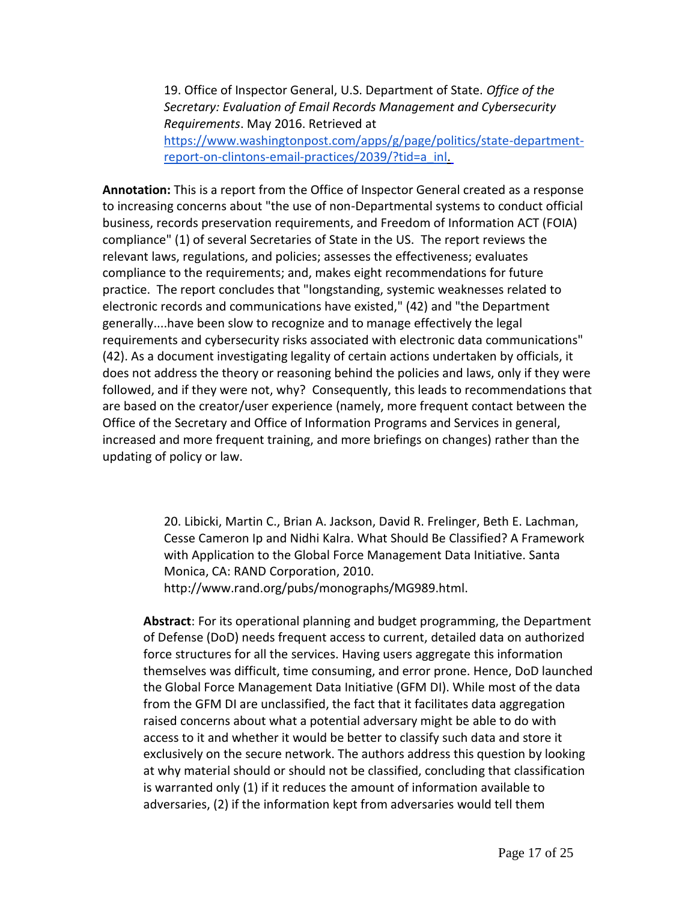19. Office of Inspector General, U.S. Department of State. *Office of the Secretary: Evaluation of Email Records Management and Cybersecurity Requirements*. May 2016. Retrieved at [https://www.washingtonpost.com/apps/g/page/politics/state-department](https://www.washingtonpost.com/apps/g/page/politics/state-department-report-on-clintons-email-practices/2039/?tid=a_inl. )[report-on-clintons-email-practices/2039/?tid=a\\_inl.](https://www.washingtonpost.com/apps/g/page/politics/state-department-report-on-clintons-email-practices/2039/?tid=a_inl. )

**Annotation:** This is a report from the Office of Inspector General created as a response to increasing concerns about "the use of non-Departmental systems to conduct official business, records preservation requirements, and Freedom of Information ACT (FOIA) compliance" (1) of several Secretaries of State in the US. The report reviews the relevant laws, regulations, and policies; assesses the effectiveness; evaluates compliance to the requirements; and, makes eight recommendations for future practice. The report concludes that "longstanding, systemic weaknesses related to electronic records and communications have existed," (42) and "the Department generally....have been slow to recognize and to manage effectively the legal requirements and cybersecurity risks associated with electronic data communications" (42). As a document investigating legality of certain actions undertaken by officials, it does not address the theory or reasoning behind the policies and laws, only if they were followed, and if they were not, why? Consequently, this leads to recommendations that are based on the creator/user experience (namely, more frequent contact between the Office of the Secretary and Office of Information Programs and Services in general, increased and more frequent training, and more briefings on changes) rather than the updating of policy or law.

> 20. Libicki, Martin C., Brian A. Jackson, David R. Frelinger, Beth E. Lachman, Cesse Cameron Ip and Nidhi Kalra. What Should Be Classified? A Framework with Application to the Global Force Management Data Initiative. Santa Monica, CA: RAND Corporation, 2010.

http://www.rand.org/pubs/monographs/MG989.html.

**Abstract**: For its operational planning and budget programming, the Department of Defense (DoD) needs frequent access to current, detailed data on authorized force structures for all the services. Having users aggregate this information themselves was difficult, time consuming, and error prone. Hence, DoD launched the Global Force Management Data Initiative (GFM DI). While most of the data from the GFM DI are unclassified, the fact that it facilitates data aggregation raised concerns about what a potential adversary might be able to do with access to it and whether it would be better to classify such data and store it exclusively on the secure network. The authors address this question by looking at why material should or should not be classified, concluding that classification is warranted only (1) if it reduces the amount of information available to adversaries, (2) if the information kept from adversaries would tell them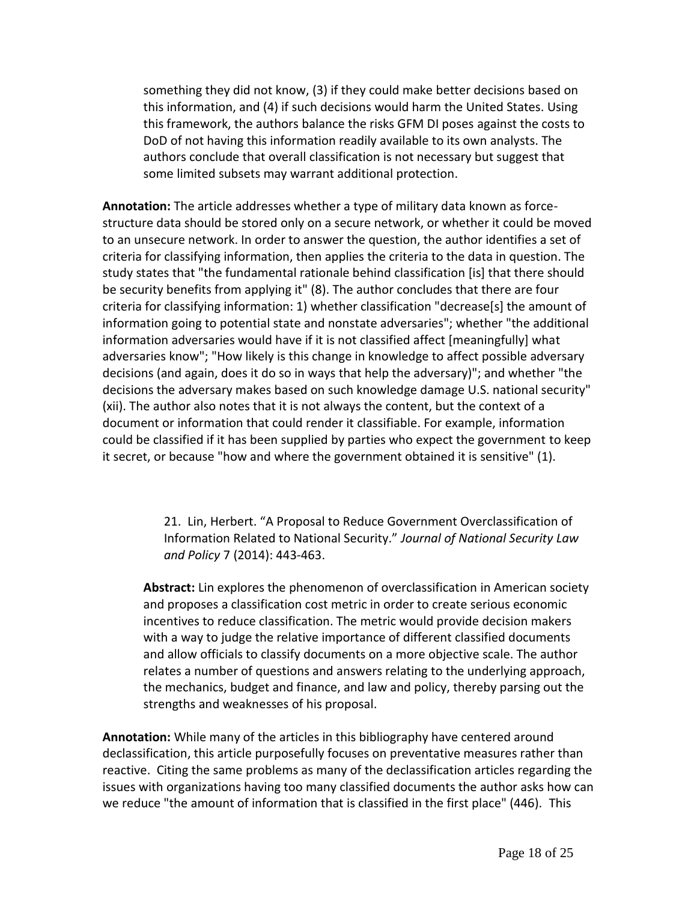something they did not know, (3) if they could make better decisions based on this information, and (4) if such decisions would harm the United States. Using this framework, the authors balance the risks GFM DI poses against the costs to DoD of not having this information readily available to its own analysts. The authors conclude that overall classification is not necessary but suggest that some limited subsets may warrant additional protection.

**Annotation:** The article addresses whether a type of military data known as forcestructure data should be stored only on a secure network, or whether it could be moved to an unsecure network. In order to answer the question, the author identifies a set of criteria for classifying information, then applies the criteria to the data in question. The study states that "the fundamental rationale behind classification [is] that there should be security benefits from applying it" (8). The author concludes that there are four criteria for classifying information: 1) whether classification "decrease[s] the amount of information going to potential state and nonstate adversaries"; whether "the additional information adversaries would have if it is not classified affect [meaningfully] what adversaries know"; "How likely is this change in knowledge to affect possible adversary decisions (and again, does it do so in ways that help the adversary)"; and whether "the decisions the adversary makes based on such knowledge damage U.S. national security" (xii). The author also notes that it is not always the content, but the context of a document or information that could render it classifiable. For example, information could be classified if it has been supplied by parties who expect the government to keep it secret, or because "how and where the government obtained it is sensitive" (1).

> 21. Lin, Herbert. "A Proposal to Reduce Government Overclassification of Information Related to National Security." *Journal of National Security Law and Policy* 7 (2014): 443-463.

**Abstract:** Lin explores the phenomenon of overclassification in American society and proposes a classification cost metric in order to create serious economic incentives to reduce classification. The metric would provide decision makers with a way to judge the relative importance of different classified documents and allow officials to classify documents on a more objective scale. The author relates a number of questions and answers relating to the underlying approach, the mechanics, budget and finance, and law and policy, thereby parsing out the strengths and weaknesses of his proposal.

**Annotation:** While many of the articles in this bibliography have centered around declassification, this article purposefully focuses on preventative measures rather than reactive. Citing the same problems as many of the declassification articles regarding the issues with organizations having too many classified documents the author asks how can we reduce "the amount of information that is classified in the first place" (446). This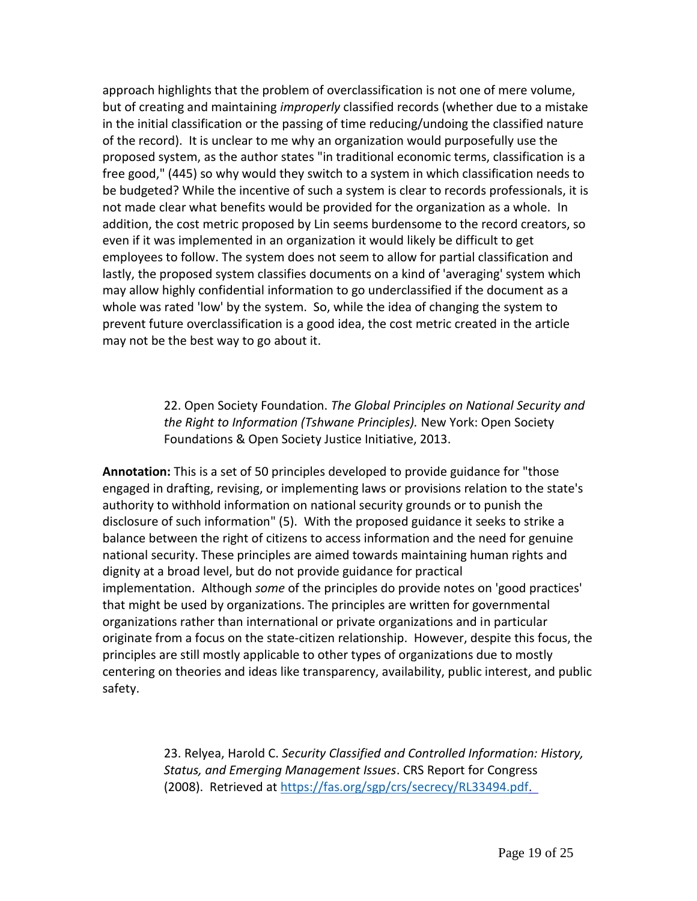approach highlights that the problem of overclassification is not one of mere volume, but of creating and maintaining *improperly* classified records (whether due to a mistake in the initial classification or the passing of time reducing/undoing the classified nature of the record). It is unclear to me why an organization would purposefully use the proposed system, as the author states "in traditional economic terms, classification is a free good," (445) so why would they switch to a system in which classification needs to be budgeted? While the incentive of such a system is clear to records professionals, it is not made clear what benefits would be provided for the organization as a whole. In addition, the cost metric proposed by Lin seems burdensome to the record creators, so even if it was implemented in an organization it would likely be difficult to get employees to follow. The system does not seem to allow for partial classification and lastly, the proposed system classifies documents on a kind of 'averaging' system which may allow highly confidential information to go underclassified if the document as a whole was rated 'low' by the system. So, while the idea of changing the system to prevent future overclassification is a good idea, the cost metric created in the article may not be the best way to go about it.

> 22. Open Society Foundation. *The Global Principles on National Security and the Right to Information (Tshwane Principles).* New York: Open Society Foundations & Open Society Justice Initiative, 2013.

**Annotation:** This is a set of 50 principles developed to provide guidance for "those engaged in drafting, revising, or implementing laws or provisions relation to the state's authority to withhold information on national security grounds or to punish the disclosure of such information" (5). With the proposed guidance it seeks to strike a balance between the right of citizens to access information and the need for genuine national security. These principles are aimed towards maintaining human rights and dignity at a broad level, but do not provide guidance for practical implementation. Although *some* of the principles do provide notes on 'good practices' that might be used by organizations. The principles are written for governmental organizations rather than international or private organizations and in particular originate from a focus on the state-citizen relationship. However, despite this focus, the principles are still mostly applicable to other types of organizations due to mostly centering on theories and ideas like transparency, availability, public interest, and public safety.

> 23. Relyea, Harold C. *Security Classified and Controlled Information: History, Status, and Emerging Management Issues*. CRS Report for Congress (2008). Retrieved at [https://fas.org/sgp/crs/secrecy/RL33494.pdf.](https://fas.org/sgp/crs/secrecy/RL33494.pdf.  )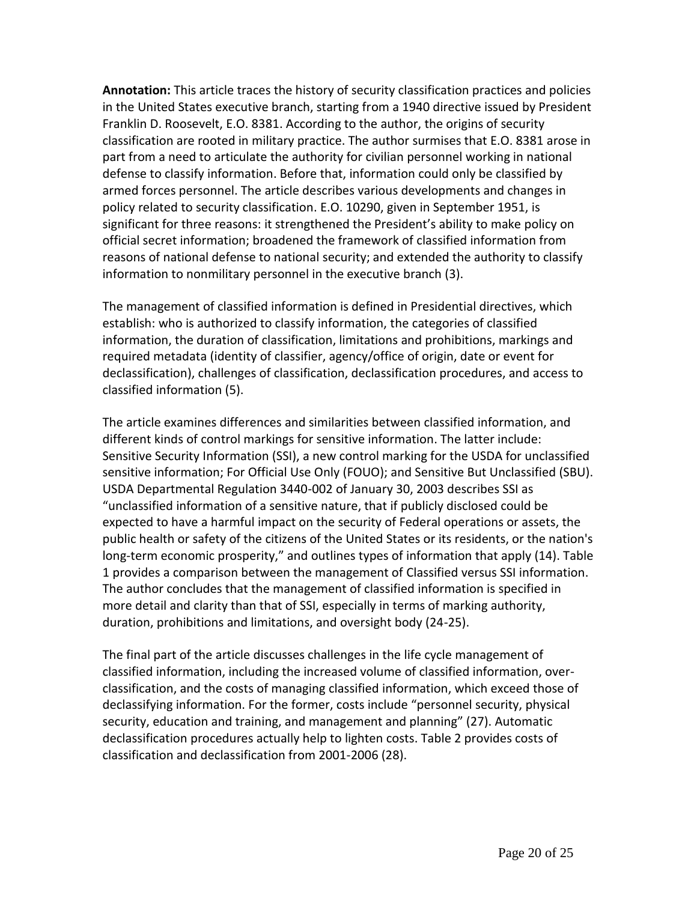**Annotation:** This article traces the history of security classification practices and policies in the United States executive branch, starting from a 1940 directive issued by President Franklin D. Roosevelt, E.O. 8381. According to the author, the origins of security classification are rooted in military practice. The author surmises that E.O. 8381 arose in part from a need to articulate the authority for civilian personnel working in national defense to classify information. Before that, information could only be classified by armed forces personnel. The article describes various developments and changes in policy related to security classification. E.O. 10290, given in September 1951, is significant for three reasons: it strengthened the President's ability to make policy on official secret information; broadened the framework of classified information from reasons of national defense to national security; and extended the authority to classify information to nonmilitary personnel in the executive branch (3).

The management of classified information is defined in Presidential directives, which establish: who is authorized to classify information, the categories of classified information, the duration of classification, limitations and prohibitions, markings and required metadata (identity of classifier, agency/office of origin, date or event for declassification), challenges of classification, declassification procedures, and access to classified information (5).

The article examines differences and similarities between classified information, and different kinds of control markings for sensitive information. The latter include: Sensitive Security Information (SSI), a new control marking for the USDA for unclassified sensitive information; For Official Use Only (FOUO); and Sensitive But Unclassified (SBU). USDA Departmental Regulation 3440-002 of January 30, 2003 describes SSI as "unclassified information of a sensitive nature, that if publicly disclosed could be expected to have a harmful impact on the security of Federal operations or assets, the public health or safety of the citizens of the United States or its residents, or the nation's long-term economic prosperity," and outlines types of information that apply (14). Table 1 provides a comparison between the management of Classified versus SSI information. The author concludes that the management of classified information is specified in more detail and clarity than that of SSI, especially in terms of marking authority, duration, prohibitions and limitations, and oversight body (24-25).

The final part of the article discusses challenges in the life cycle management of classified information, including the increased volume of classified information, overclassification, and the costs of managing classified information, which exceed those of declassifying information. For the former, costs include "personnel security, physical security, education and training, and management and planning" (27). Automatic declassification procedures actually help to lighten costs. Table 2 provides costs of classification and declassification from 2001-2006 (28).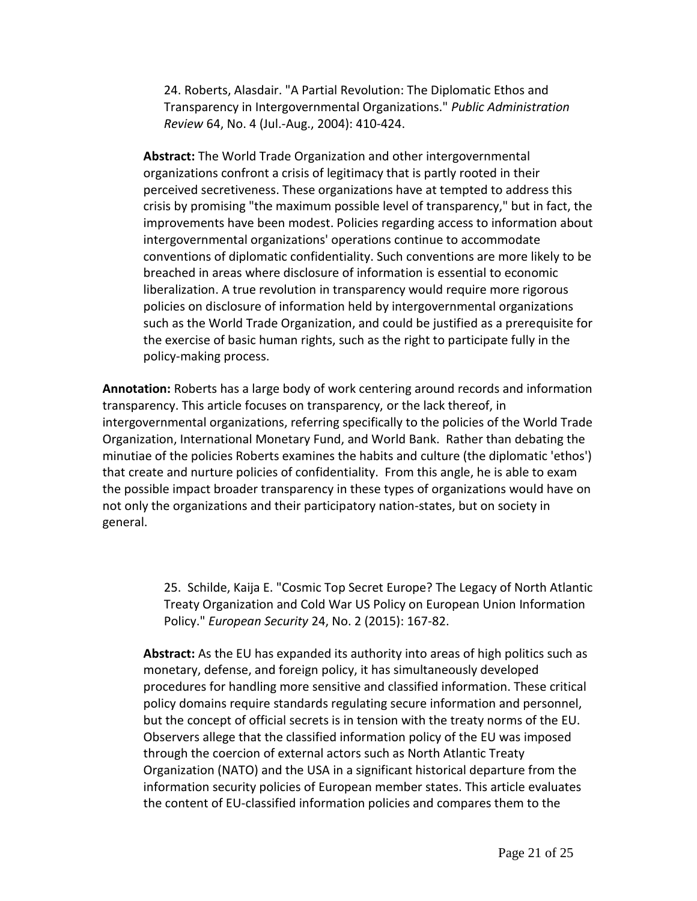24. Roberts, Alasdair. "A Partial Revolution: The Diplomatic Ethos and Transparency in Intergovernmental Organizations." *Public Administration Review* 64, No. 4 (Jul.-Aug., 2004): 410-424.

**Abstract:** The World Trade Organization and other intergovernmental organizations confront a crisis of legitimacy that is partly rooted in their perceived secretiveness. These organizations have at tempted to address this crisis by promising "the maximum possible level of transparency," but in fact, the improvements have been modest. Policies regarding access to information about intergovernmental organizations' operations continue to accommodate conventions of diplomatic confidentiality. Such conventions are more likely to be breached in areas where disclosure of information is essential to economic liberalization. A true revolution in transparency would require more rigorous policies on disclosure of information held by intergovernmental organizations such as the World Trade Organization, and could be justified as a prerequisite for the exercise of basic human rights, such as the right to participate fully in the policy-making process.

**Annotation:** Roberts has a large body of work centering around records and information transparency. This article focuses on transparency, or the lack thereof, in intergovernmental organizations, referring specifically to the policies of the World Trade Organization, International Monetary Fund, and World Bank. Rather than debating the minutiae of the policies Roberts examines the habits and culture (the diplomatic 'ethos') that create and nurture policies of confidentiality. From this angle, he is able to exam the possible impact broader transparency in these types of organizations would have on not only the organizations and their participatory nation-states, but on society in general.

> 25. Schilde, Kaija E. "Cosmic Top Secret Europe? The Legacy of North Atlantic Treaty Organization and Cold War US Policy on European Union Information Policy." *European Security* 24, No. 2 (2015): 167-82.

**Abstract:** As the EU has expanded its authority into areas of high politics such as monetary, defense, and foreign policy, it has simultaneously developed procedures for handling more sensitive and classified information. These critical policy domains require standards regulating secure information and personnel, but the concept of official secrets is in tension with the treaty norms of the EU. Observers allege that the classified information policy of the EU was imposed through the coercion of external actors such as North Atlantic Treaty Organization (NATO) and the USA in a significant historical departure from the information security policies of European member states. This article evaluates the content of EU-classified information policies and compares them to the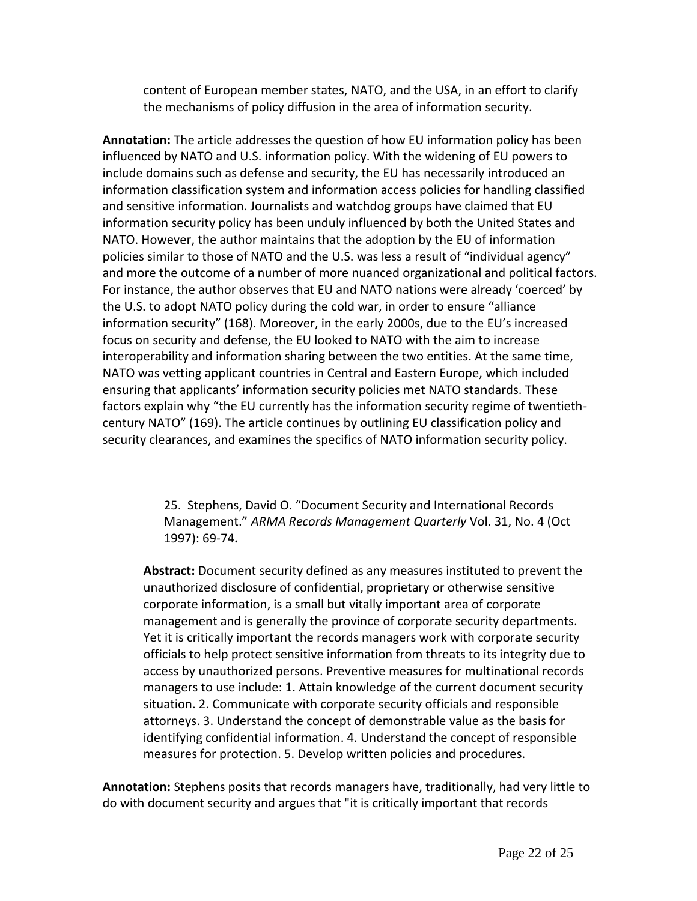content of European member states, NATO, and the USA, in an effort to clarify the mechanisms of policy diffusion in the area of information security.

**Annotation:** The article addresses the question of how EU information policy has been influenced by NATO and U.S. information policy. With the widening of EU powers to include domains such as defense and security, the EU has necessarily introduced an information classification system and information access policies for handling classified and sensitive information. Journalists and watchdog groups have claimed that EU information security policy has been unduly influenced by both the United States and NATO. However, the author maintains that the adoption by the EU of information policies similar to those of NATO and the U.S. was less a result of "individual agency" and more the outcome of a number of more nuanced organizational and political factors. For instance, the author observes that EU and NATO nations were already 'coerced' by the U.S. to adopt NATO policy during the cold war, in order to ensure "alliance information security" (168). Moreover, in the early 2000s, due to the EU's increased focus on security and defense, the EU looked to NATO with the aim to increase interoperability and information sharing between the two entities. At the same time, NATO was vetting applicant countries in Central and Eastern Europe, which included ensuring that applicants' information security policies met NATO standards. These factors explain why "the EU currently has the information security regime of twentiethcentury NATO" (169). The article continues by outlining EU classification policy and security clearances, and examines the specifics of NATO information security policy.

> 25. Stephens, David O. "Document Security and International Records Management." *ARMA Records Management Quarterly* Vol. 31, No. 4 (Oct 1997): 69-74**.**

**Abstract:** Document security defined as any measures instituted to prevent the unauthorized disclosure of confidential, proprietary or otherwise sensitive corporate information, is a small but vitally important area of corporate management and is generally the province of corporate security departments. Yet it is critically important the records managers work with corporate security officials to help protect sensitive information from threats to its integrity due to access by unauthorized persons. Preventive measures for multinational records managers to use include: 1. Attain knowledge of the current document security situation. 2. Communicate with corporate security officials and responsible attorneys. 3. Understand the concept of demonstrable value as the basis for identifying confidential information. 4. Understand the concept of responsible measures for protection. 5. Develop written policies and procedures.

**Annotation:** Stephens posits that records managers have, traditionally, had very little to do with document security and argues that "it is critically important that records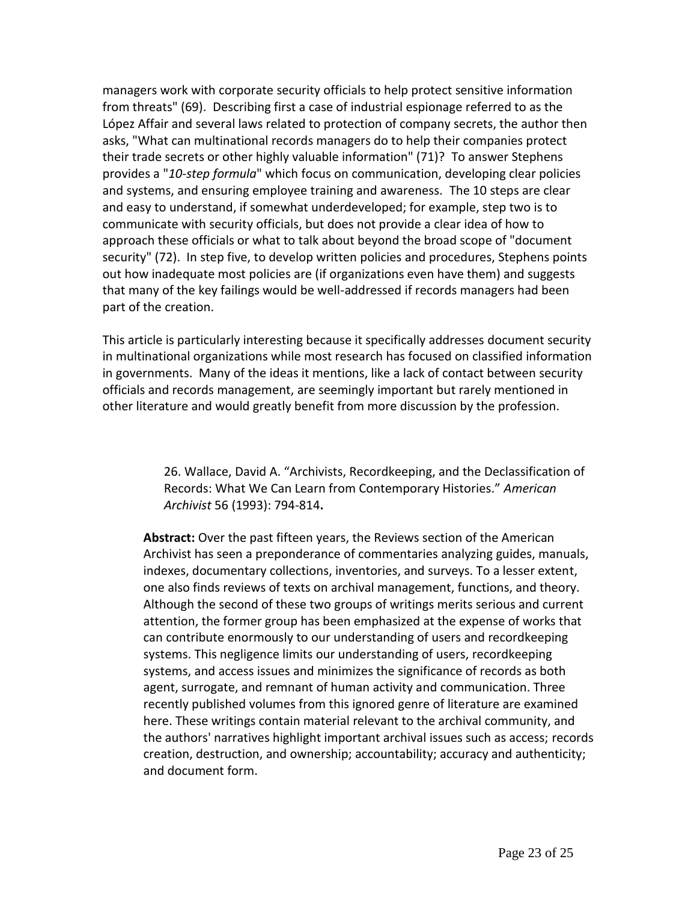managers work with corporate security officials to help protect sensitive information from threats" (69). Describing first a case of industrial espionage referred to as the López Affair and several laws related to protection of company secrets, the author then asks, "What can multinational records managers do to help their companies protect their trade secrets or other highly valuable information" (71)? To answer Stephens provides a "*10-step formula*" which focus on communication, developing clear policies and systems, and ensuring employee training and awareness. The 10 steps are clear and easy to understand, if somewhat underdeveloped; for example, step two is to communicate with security officials, but does not provide a clear idea of how to approach these officials or what to talk about beyond the broad scope of "document security" (72). In step five, to develop written policies and procedures, Stephens points out how inadequate most policies are (if organizations even have them) and suggests that many of the key failings would be well-addressed if records managers had been part of the creation.

This article is particularly interesting because it specifically addresses document security in multinational organizations while most research has focused on classified information in governments. Many of the ideas it mentions, like a lack of contact between security officials and records management, are seemingly important but rarely mentioned in other literature and would greatly benefit from more discussion by the profession.

> 26. Wallace, David A. "Archivists, Recordkeeping, and the Declassification of Records: What We Can Learn from Contemporary Histories." *American Archivist* 56 (1993): 794-814**.**

**Abstract:** Over the past fifteen years, the Reviews section of the American Archivist has seen a preponderance of commentaries analyzing guides, manuals, indexes, documentary collections, inventories, and surveys. To a lesser extent, one also finds reviews of texts on archival management, functions, and theory. Although the second of these two groups of writings merits serious and current attention, the former group has been emphasized at the expense of works that can contribute enormously to our understanding of users and recordkeeping systems. This negligence limits our understanding of users, recordkeeping systems, and access issues and minimizes the significance of records as both agent, surrogate, and remnant of human activity and communication. Three recently published volumes from this ignored genre of literature are examined here. These writings contain material relevant to the archival community, and the authors' narratives highlight important archival issues such as access; records creation, destruction, and ownership; accountability; accuracy and authenticity; and document form.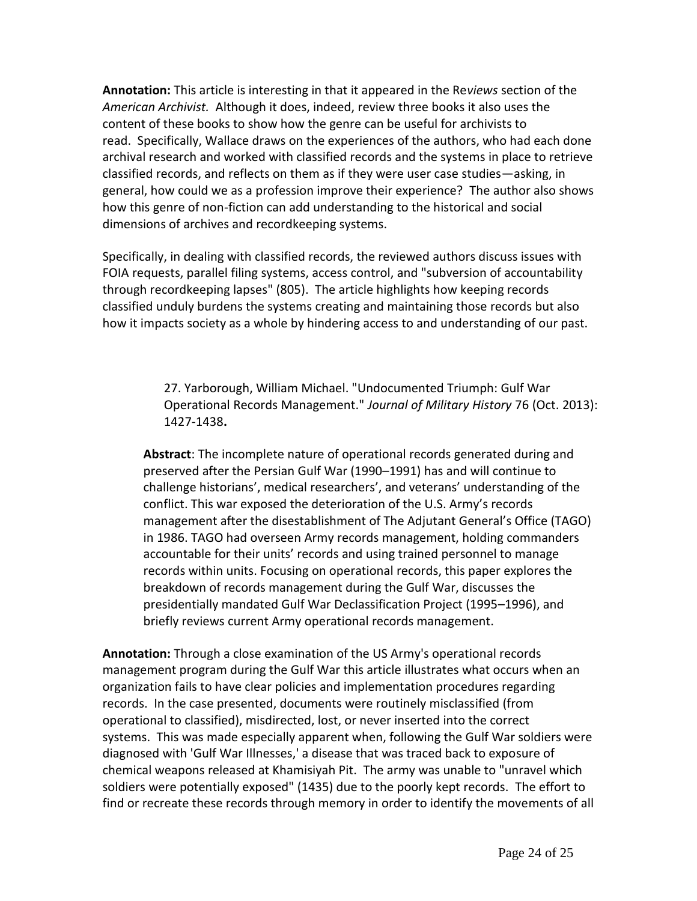**Annotation:** This article is interesting in that it appeared in the Re*views* section of the *American Archivist.* Although it does, indeed, review three books it also uses the content of these books to show how the genre can be useful for archivists to read. Specifically, Wallace draws on the experiences of the authors, who had each done archival research and worked with classified records and the systems in place to retrieve classified records, and reflects on them as if they were user case studies—asking, in general, how could we as a profession improve their experience? The author also shows how this genre of non-fiction can add understanding to the historical and social dimensions of archives and recordkeeping systems.

Specifically, in dealing with classified records, the reviewed authors discuss issues with FOIA requests, parallel filing systems, access control, and "subversion of accountability through recordkeeping lapses" (805). The article highlights how keeping records classified unduly burdens the systems creating and maintaining those records but also how it impacts society as a whole by hindering access to and understanding of our past.

> 27. Yarborough, William Michael. "Undocumented Triumph: Gulf War Operational Records Management." *Journal of Military History* 76 (Oct. 2013): 1427-1438**.**

**Abstract**: The incomplete nature of operational records generated during and preserved after the Persian Gulf War (1990–1991) has and will continue to challenge historians', medical researchers', and veterans' understanding of the conflict. This war exposed the deterioration of the U.S. Army's records management after the disestablishment of The Adjutant General's Office (TAGO) in 1986. TAGO had overseen Army records management, holding commanders accountable for their units' records and using trained personnel to manage records within units. Focusing on operational records, this paper explores the breakdown of records management during the Gulf War, discusses the presidentially mandated Gulf War Declassification Project (1995–1996), and briefly reviews current Army operational records management.

**Annotation:** Through a close examination of the US Army's operational records management program during the Gulf War this article illustrates what occurs when an organization fails to have clear policies and implementation procedures regarding records. In the case presented, documents were routinely misclassified (from operational to classified), misdirected, lost, or never inserted into the correct systems. This was made especially apparent when, following the Gulf War soldiers were diagnosed with 'Gulf War Illnesses,' a disease that was traced back to exposure of chemical weapons released at Khamisiyah Pit. The army was unable to "unravel which soldiers were potentially exposed" (1435) due to the poorly kept records. The effort to find or recreate these records through memory in order to identify the movements of all